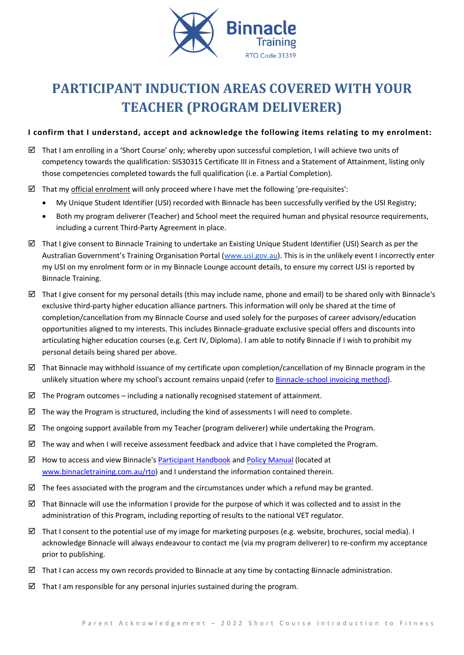

# **PARTICIPANT INDUCTION AREAS COVERED WITH YOUR TEACHER (PROGRAM DELIVERER)**

# **I confirm that I understand, accept and acknowledge the following items relating to my enrolment:**

- $\boxtimes$  That I am enrolling in a 'Short Course' only; whereby upon successful completion, I will achieve two units of competency towards the qualification: SIS30315 Certificate III in Fitness and a Statement of Attainment, listing only those competencies completed towards the full qualification (i.e. a Partial Completion).
- $\boxtimes$  That my official enrolment will only proceed where I have met the following 'pre-requisites':
	- My Unique Student Identifier (USI) recorded with Binnacle has been successfully verified by the USI Registry;
	- Both my program deliverer (Teacher) and School meet the required human and physical resource requirements, including a current Third-Party Agreement in place.
- $\boxtimes$  That I give consent to Binnacle Training to undertake an Existing Unique Student Identifier (USI) Search as per the Australian Government's Training Organisation Portal ([www.usi.gov.au\)](http://www.usi.gov.au/). This is in the unlikely event I incorrectly enter my USI on my enrolment form or in my Binnacle Lounge account details, to ensure my correct USI is reported by Binnacle Training.
- That I give consent for my personal details (this may include name, phone and email) to be shared only with Binnacle's exclusive third-party higher education alliance partners. This information will only be shared at the time of completion/cancellation from my Binnacle Course and used solely for the purposes of career advisory/education opportunities aligned to my interests. This includes Binnacle-graduate exclusive special offers and discounts into articulating higher education courses (e.g. Cert IV, Diploma). I am able to notify Binnacle if I wish to prohibit my personal details being shared per above.
- $\boxtimes$  That Binnacle may withhold issuance of my certificate upon completion/cancellation of my Binnacle program in the unlikely situation where my school's account remains unpaid (refer t[o Binnacle-school invoicing method\)](http://www.binnacletraining.com.au/services-pricing.php).
- $\boxtimes$  The Program outcomes including a nationally recognised statement of attainment.
- $\boxtimes$  The way the Program is structured, including the kind of assessments I will need to complete.
- $\boxtimes$  The ongoing support available from my Teacher (program deliverer) while undertaking the Program.
- $\boxtimes$  The way and when I will receive assessment feedback and advice that I have completed the Program.
- $\boxtimes$  How to access and view Binnacle's [Participant Handbook](http://www.binnacletraining.com.au/rto.php) an[d Policy Manual](http://www.binnacletraining.com.au/rto.php) (located at [www.binnacletraining.com.au/rto\)](http://www.binnacletraining.com.au/rto) and I understand the information contained therein.
- $\boxtimes$  The fees associated with the program and the circumstances under which a refund may be granted.
- That Binnacle will use the information I provide for the purpose of which it was collected and to assist in the administration of this Program, including reporting of results to the national VET regulator.
- $\boxtimes$  That I consent to the potential use of my image for marketing purposes (e.g. website, brochures, social media). I acknowledge Binnacle will always endeavour to contact me (via my program deliverer) to re-confirm my acceptance prior to publishing.
- $\boxtimes$  That I can access my own records provided to Binnacle at any time by contacting Binnacle administration.
- $\boxtimes$  That I am responsible for any personal injuries sustained during the program.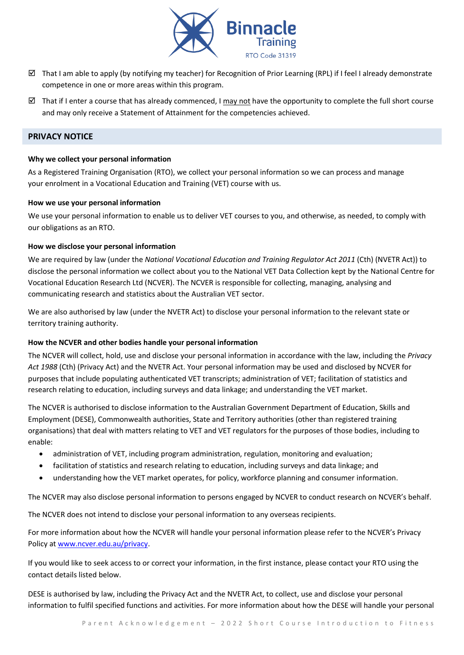

- $\boxtimes$  That I am able to apply (by notifying my teacher) for Recognition of Prior Learning (RPL) if I feel I already demonstrate competence in one or more areas within this program.
- That if I enter a course that has already commenced, I may not have the opportunity to complete the full short course and may only receive a Statement of Attainment for the competencies achieved.

## **PRIVACY NOTICE**

#### **Why we collect your personal information**

As a Registered Training Organisation (RTO), we collect your personal information so we can process and manage your enrolment in a Vocational Education and Training (VET) course with us.

#### **How we use your personal information**

We use your personal information to enable us to deliver VET courses to you, and otherwise, as needed, to comply with our obligations as an RTO.

## **How we disclose your personal information**

We are required by law (under the *National Vocational Education and Training Regulator Act 2011* (Cth) (NVETR Act)) to disclose the personal information we collect about you to the National VET Data Collection kept by the National Centre for Vocational Education Research Ltd (NCVER). The NCVER is responsible for collecting, managing, analysing and communicating research and statistics about the Australian VET sector.

We are also authorised by law (under the NVETR Act) to disclose your personal information to the relevant state or territory training authority.

## **How the NCVER and other bodies handle your personal information**

The NCVER will collect, hold, use and disclose your personal information in accordance with the law, including the *Privacy Act 1988* (Cth) (Privacy Act) and the NVETR Act. Your personal information may be used and disclosed by NCVER for purposes that include populating authenticated VET transcripts; administration of VET; facilitation of statistics and research relating to education, including surveys and data linkage; and understanding the VET market.

The NCVER is authorised to disclose information to the Australian Government Department of Education, Skills and Employment (DESE), Commonwealth authorities, State and Territory authorities (other than registered training organisations) that deal with matters relating to VET and VET regulators for the purposes of those bodies, including to enable:

- administration of VET, including program administration, regulation, monitoring and evaluation;
- facilitation of statistics and research relating to education, including surveys and data linkage; and
- understanding how the VET market operates, for policy, workforce planning and consumer information.

The NCVER may also disclose personal information to persons engaged by NCVER to conduct research on NCVER's behalf.

The NCVER does not intend to disclose your personal information to any overseas recipients.

For more information about how the NCVER will handle your personal information please refer to the NCVER's Privacy Policy at [www.ncver.edu.au/privacy.](http://www.ncver.edu.au/privacy)

If you would like to seek access to or correct your information, in the first instance, please contact your RTO using the contact details listed below.

DESE is authorised by law, including the Privacy Act and the NVETR Act, to collect, use and disclose your personal information to fulfil specified functions and activities. For more information about how the DESE will handle your personal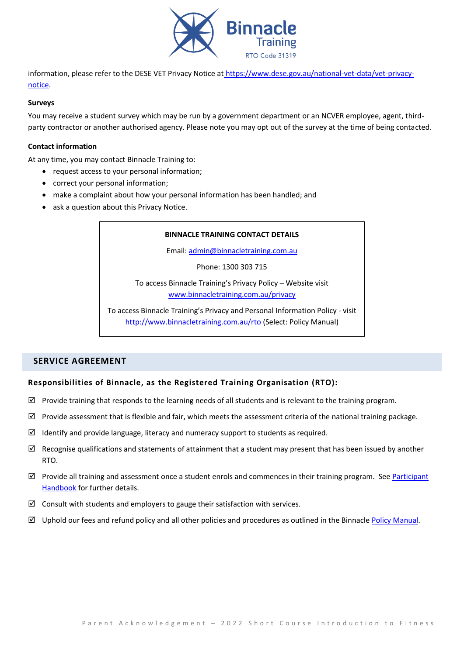

information, please refer to the DESE VET Privacy Notice at [https://www.dese.gov.au/national-vet-data/vet-privacy](https://www.dese.gov.au/national-vet-data/vet-privacy-notice)[notice.](https://www.dese.gov.au/national-vet-data/vet-privacy-notice)

#### **Surveys**

You may receive a student survey which may be run by a government department or an NCVER employee, agent, thirdparty contractor or another authorised agency. Please note you may opt out of the survey at the time of being contacted.

## **Contact information**

At any time, you may contact Binnacle Training to:

- request access to your personal information;
- correct your personal information;
- make a complaint about how your personal information has been handled; and
- ask a question about this Privacy Notice.

## **BINNACLE TRAINING CONTACT DETAILS**

Email: [admin@binnacletraining.com.au](mailto:admin@binnacletraining.com.au)

Phone: 1300 303 715

To access Binnacle Training's Privacy Policy – Website visit [www.binnacletraining.com.au/privacy](http://www.binnacletraining.com.au/privacy)

To access Binnacle Training's Privacy and Personal Information Policy - visit <http://www.binnacletraining.com.au/rto> (Select: Policy Manual)

# **SERVICE AGREEMENT**

## **Responsibilities of Binnacle, as the Registered Training Organisation (RTO):**

- $\boxtimes$  Provide training that responds to the learning needs of all students and is relevant to the training program.
- $\boxtimes$  Provide assessment that is flexible and fair, which meets the assessment criteria of the national training package.
- $\boxtimes$  Identify and provide language, literacy and numeracy support to students as required.
- $\boxtimes$  Recognise qualifications and statements of attainment that a student may present that has been issued by another RTO.
- $\boxtimes$  Provide all training and assessment once a student enrols and commences in their training program. See Participant [Handbook](http://www.binnacletraining.com.au/rto.php) for further details.
- $\boxtimes$  Consult with students and employers to gauge their satisfaction with services.
- $\boxtimes$  Uphold our fees and refund policy and all other policies and procedures as outlined in the Binnacle [Policy Manual.](http://www.binnacletraining.com.au/rto.php)